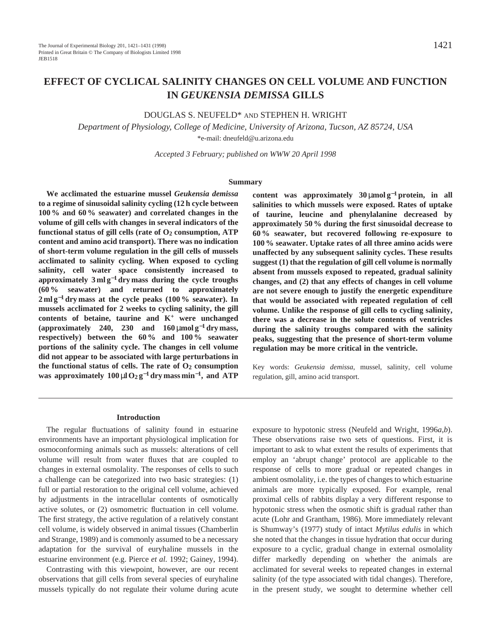# **EFFECT OF CYCLICAL SALINITY CHANGES ON CELL VOLUME AND FUNCTION IN** *GEUKENSIA DEMISSA* **GILLS**

# DOUGLAS S. NEUFELD\* AND STEPHEN H. WRIGHT

*Department of Physiology, College of Medicine, University of Arizona, Tucson, AZ 85724, USA* \*e-mail: dneufeld@u.arizona.edu

*Accepted 3 February; published on WWW 20 April 1998*

## **Summary**

**We acclimated the estuarine mussel** *Geukensia demissa* **to a regime of sinusoidal salinity cycling (12 h cycle between 100 % and 60 % seawater) and correlated changes in the volume of gill cells with changes in several indicators of the functional status of gill cells (rate of O2 consumption, ATP content and amino acid transport). There was no indication of short-term volume regulation in the gill cells of mussels acclimated to salinity cycling. When exposed to cycling salinity, cell water space consistently increased to approximately 3 ml g**−**<sup>1</sup> dry mass during the cycle troughs (60 % seawater) and returned to approximately 2 ml g**−**<sup>1</sup> dry mass at the cycle peaks (100 % seawater). In mussels acclimated for 2 weeks to cycling salinity, the gill contents of betaine, taurine and K<sup>+</sup> were unchanged (approximately 240, 230 and 160** µ**mol g**−**<sup>1</sup> dry mass, respectively) between the 60 % and 100 % seawater portions of the salinity cycle. The changes in cell volume did not appear to be associated with large perturbations in** the functional status of cells. The rate of  $O<sub>2</sub>$  consumption **was approximately 100**  $\mu$ **l**  $O_2$   $g^{-1}$  dry mass min<sup>-1</sup>, and ATP **content was approximately 30** µ**mol g**−**<sup>1</sup> protein, in all salinities to which mussels were exposed. Rates of uptake of taurine, leucine and phenylalanine decreased by approximately 50 % during the first sinusoidal decrease to 60 % seawater, but recovered following re-exposure to 100 % seawater. Uptake rates of all three amino acids were unaffected by any subsequent salinity cycles. These results suggest (1) that the regulation of gill cell volume is normally absent from mussels exposed to repeated, gradual salinity changes, and (2) that any effects of changes in cell volume are not severe enough to justify the energetic expenditure that would be associated with repeated regulation of cell volume. Unlike the response of gill cells to cycling salinity, there was a decrease in the solute contents of ventricles during the salinity troughs compared with the salinity peaks, suggesting that the presence of short-term volume regulation may be more critical in the ventricle.**

Key words: *Geukensia demissa*, mussel, salinity, cell volume regulation, gill, amino acid transport.

#### **Introduction**

The regular fluctuations of salinity found in estuarine environments have an important physiological implication for osmoconforming animals such as mussels: alterations of cell volume will result from water fluxes that are coupled to changes in external osmolality. The responses of cells to such a challenge can be categorized into two basic strategies: (1) full or partial restoration to the original cell volume, achieved by adjustments in the intracellular contents of osmotically active solutes, or (2) osmometric fluctuation in cell volume. The first strategy, the active regulation of a relatively constant cell volume, is widely observed in animal tissues (Chamberlin and Strange, 1989) and is commonly assumed to be a necessary adaptation for the survival of euryhaline mussels in the estuarine environment (e.g. Pierce *et al.* 1992; Gainey, 1994).

Contrasting with this viewpoint, however, are our recent observations that gill cells from several species of euryhaline mussels typically do not regulate their volume during acute

exposure to hypotonic stress (Neufeld and Wright, 1996*a*,*b*). These observations raise two sets of questions. First, it is important to ask to what extent the results of experiments that employ an 'abrupt change' protocol are applicable to the response of cells to more gradual or repeated changes in ambient osmolality, i.e. the types of changes to which estuarine animals are more typically exposed. For example, renal proximal cells of rabbits display a very different response to hypotonic stress when the osmotic shift is gradual rather than acute (Lohr and Grantham, 1986). More immediately relevant is Shumway's (1977) study of intact *Mytilus edulis* in which she noted that the changes in tissue hydration that occur during exposure to a cyclic, gradual change in external osmolality differ markedly depending on whether the animals are acclimated for several weeks to repeated changes in external salinity (of the type associated with tidal changes). Therefore, in the present study, we sought to determine whether cell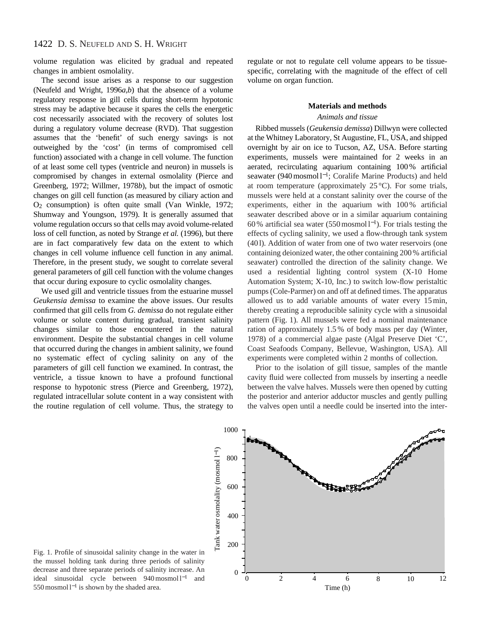volume regulation was elicited by gradual and repeated changes in ambient osmolality.

The second issue arises as a response to our suggestion (Neufeld and Wright, 1996*a*,*b*) that the absence of a volume regulatory response in gill cells during short-term hypotonic stress may be adaptive because it spares the cells the energetic cost necessarily associated with the recovery of solutes lost during a regulatory volume decrease (RVD). That suggestion assumes that the 'benefit' of such energy savings is not outweighed by the 'cost' (in terms of compromised cell function) associated with a change in cell volume. The function of at least some cell types (ventricle and neuron) in mussels is compromised by changes in external osmolality (Pierce and Greenberg, 1972; Willmer, 1978*b*), but the impact of osmotic changes on gill cell function (as measured by ciliary action and O2 consumption) is often quite small (Van Winkle, 1972; Shumway and Youngson, 1979). It is generally assumed that volume regulation occurs so that cells may avoid volume-related loss of cell function, as noted by Strange *et al.* (1996), but there are in fact comparatively few data on the extent to which changes in cell volume influence cell function in any animal. Therefore, in the present study, we sought to correlate several general parameters of gill cell function with the volume changes that occur during exposure to cyclic osmolality changes.

We used gill and ventricle tissues from the estuarine mussel *Geukensia demissa* to examine the above issues. Our results confirmed that gill cells from *G. demissa* do not regulate either volume or solute content during gradual, transient salinity changes similar to those encountered in the natural environment. Despite the substantial changes in cell volume that occurred during the changes in ambient salinity, we found no systematic effect of cycling salinity on any of the parameters of gill cell function we examined. In contrast, the ventricle, a tissue known to have a profound functional response to hypotonic stress (Pierce and Greenberg, 1972), regulated intracellular solute content in a way consistent with the routine regulation of cell volume. Thus, the strategy to

regulate or not to regulate cell volume appears to be tissuespecific, correlating with the magnitude of the effect of cell volume on organ function.

#### **Materials and methods**

#### *Animals and tissue*

Ribbed mussels (*Geukensia demissa*) Dillwyn were collected at the Whitney Laboratory, St Augustine, FL, USA, and shipped overnight by air on ice to Tucson, AZ, USA. Before starting experiments, mussels were maintained for 2 weeks in an aerated, recirculating aquarium containing 100 % artificial seawater (940 mosmol l<sup>-1</sup>; Coralife Marine Products) and held at room temperature (approximately  $25^{\circ}$ C). For some trials, mussels were held at a constant salinity over the course of the experiments, either in the aquarium with 100 % artificial seawater described above or in a similar aquarium containing 60 % artificial sea water (550 mosmol l<sup>−</sup>1). For trials testing the effects of cycling salinity, we used a flow-through tank system (401). Addition of water from one of two water reservoirs (one containing deionized water, the other containing 200 % artificial seawater) controlled the direction of the salinity change. We used a residential lighting control system (X-10 Home Automation System; X-10, Inc.) to switch low-flow peristaltic pumps (Cole-Parmer) on and off at defined times. The apparatus allowed us to add variable amounts of water every 15 min, thereby creating a reproducible salinity cycle with a sinusoidal pattern (Fig. 1). All mussels were fed a nominal maintenance ration of approximately 1.5 % of body mass per day (Winter, 1978) of a commercial algae paste (Algal Preserve Diet 'C', Coast Seafoods Company, Bellevue, Washington, USA). All experiments were completed within 2 months of collection.

Prior to the isolation of gill tissue, samples of the mantle cavity fluid were collected from mussels by inserting a needle between the valve halves. Mussels were then opened by cutting the posterior and anterior adductor muscles and gently pulling the valves open until a needle could be inserted into the inter-



Fig. 1. Profile of sinusoidal salinity change in the water in the mussel holding tank during three periods of salinity decrease and three separate periods of salinity increase. An ideal sinusoidal cycle between 940 mosmol l−<sup>1</sup> and 550 mosmol l−<sup>1</sup> is shown by the shaded area.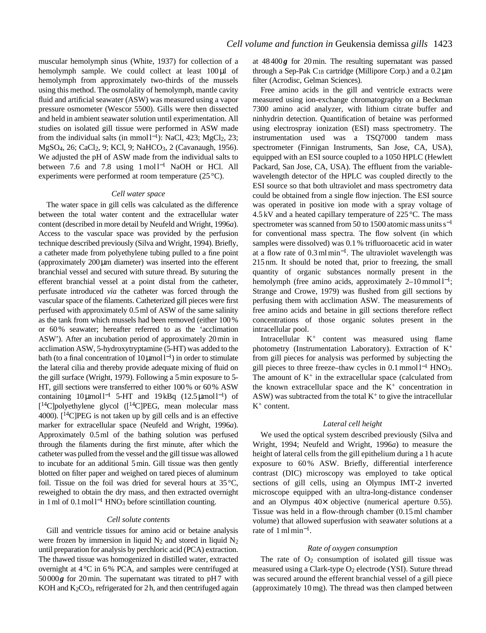muscular hemolymph sinus (White, 1937) for collection of a hemolymph sample. We could collect at least 100 µl of hemolymph from approximately two-thirds of the mussels using this method. The osmolality of hemolymph, mantle cavity fluid and artificial seawater (ASW) was measured using a vapor pressure osmometer (Wescor 5500). Gills were then dissected and held in ambient seawater solution until experimentation. All studies on isolated gill tissue were performed in ASW made from the individual salts (in mmol  $l^{-1}$ ): NaCl, 423; MgCl<sub>2</sub>, 23; MgSO<sub>4</sub>, 26; CaCl<sub>2</sub>, 9; KCl, 9; NaHCO<sub>3</sub>, 2 (Cavanaugh, 1956). We adjusted the pH of ASW made from the individual salts to between 7.6 and 7.8 using 1 mol l<sup>−1</sup> NaOH or HCl. All experiments were performed at room temperature (25 °C).

#### *Cell water space*

The water space in gill cells was calculated as the difference between the total water content and the extracellular water content (described in more detail by Neufeld and Wright, 1996*a*). Access to the vascular space was provided by the perfusion technique described previously (Silva and Wright, 1994). Briefly, a catheter made from polyethylene tubing pulled to a fine point (approximately 200µm diameter) was inserted into the efferent branchial vessel and secured with suture thread. By suturing the efferent branchial vessel at a point distal from the catheter, perfusate introduced *via* the catheter was forced through the vascular space of the filaments. Catheterized gill pieces were first perfused with approximately 0.5ml of ASW of the same salinity as the tank from which mussels had been removed (either 100% or 60% seawater; hereafter referred to as the 'acclimation ASW'). After an incubation period of approximately 20min in acclimation ASW, 5-hydroxytryptamine (5-HT) was added to the bath (to a final concentration of  $10 \mu$ moll<sup>-1</sup>) in order to stimulate the lateral cilia and thereby provide adequate mixing of fluid on the gill surface (Wright, 1979). Following a 5min exposure to 5- HT, gill sections were transferred to either 100% or 60% ASW containing  $10 \mu \text{mol}^{-1}$  5-HT and  $19 \text{kBq}$  (12.5  $\mu \text{mol}^{-1}$ ) of  $[14C]$ polyethylene glycol  $(14C)PEG$ , mean molecular mass 4000).  $[{}^{14}$ C |PEG is not taken up by gill cells and is an effective marker for extracellular space (Neufeld and Wright, 1996*a*). Approximately 0.5ml of the bathing solution was perfused through the filaments during the first minute, after which the catheter was pulled from the vessel and the gill tissue was allowed to incubate for an additional 5min. Gill tissue was then gently blotted on filter paper and weighed on tared pieces of aluminum foil. Tissue on the foil was dried for several hours at  $35^{\circ}$ C, reweighed to obtain the dry mass, and then extracted overnight in 1 ml of  $0.1 \text{ mol}^{-1}$  HNO<sub>3</sub> before scintillation counting.

### *Cell solute contents*

Gill and ventricle tissues for amino acid or betaine analysis were frozen by immersion in liquid  $N_2$  and stored in liquid  $N_2$ until preparation for analysis by perchloric acid (PCA) extraction. The thawed tissue was homogenized in distilled water, extracted overnight at 4°C in 6% PCA, and samples were centrifuged at 50000*g* for 20min. The supernatant was titrated to pH7 with KOH and  $K<sub>2</sub>CO<sub>3</sub>$ , refrigerated for 2h, and then centrifuged again at 48400*g* for 20min. The resulting supernatant was passed through a Sep-Pak  $C_{18}$  cartridge (Millipore Corp.) and a  $0.2 \,\mu m$ filter (Acrodisc, Gelman Sciences).

Free amino acids in the gill and ventricle extracts were measured using ion-exchange chromatography on a Beckman 7300 amino acid analyzer, with lithium citrate buffer and ninhydrin detection. Quantification of betaine was performed using electrospray ionization (ESI) mass spectrometry. The instrumentation used was a TSQ7000 tandem mass spectrometer (Finnigan Instruments, San Jose, CA, USA), equipped with an ESI source coupled to a 1050 HPLC (Hewlett Packard, San Jose, CA, USA). The effluent from the variablewavelength detector of the HPLC was coupled directly to the ESI source so that both ultraviolet and mass spectrometry data could be obtained from a single flow injection. The ESI source was operated in positive ion mode with a spray voltage of 4.5 kV and a heated capillary temperature of  $225^{\circ}$ C. The mass spectrometer was scanned from 50 to 1500 atomic mass units  $s^{-1}$ for conventional mass spectra. The flow solvent (in which samples were dissolved) was 0.1 % trifluoroacetic acid in water at a flow rate of 0.3 ml min<sup>−</sup>1. The ultraviolet wavelength was 215 nm. It should be noted that, prior to freezing, the small quantity of organic substances normally present in the hemolymph (free amino acids, approximately  $2-10$  mmol  $l^{-1}$ ; Strange and Crowe, 1979) was flushed from gill sections by perfusing them with acclimation ASW. The measurements of free amino acids and betaine in gill sections therefore reflect concentrations of those organic solutes present in the intracellular pool.

Intracellular  $K^+$  content was measured using flame photometry (Instrumentation Laboratory). Extraction of K<sup>+</sup> from gill pieces for analysis was performed by subjecting the gill pieces to three freeze–thaw cycles in  $0.1$  mmol  $l^{-1}$  HNO<sub>3</sub>. The amount of  $K^+$  in the extracellular space (calculated from the known extracellular space and the  $K^+$  concentration in ASW) was subtracted from the total  $K^+$  to give the intracellular  $K^+$  content.

#### *Lateral cell height*

We used the optical system described previously (Silva and Wright, 1994; Neufeld and Wright, 1996*a*) to measure the height of lateral cells from the gill epithelium during a 1 h acute exposure to 60% ASW. Briefly, differential interference contrast (DIC) microscopy was employed to take optical sections of gill cells, using an Olympus IMT-2 inverted microscope equipped with an ultra-long-distance condenser and an Olympus 40× objective (numerical aperture 0.55). Tissue was held in a flow-through chamber (0.15 ml chamber volume) that allowed superfusion with seawater solutions at a rate of 1 ml min<sup>−</sup>1.

#### *Rate of oxygen consumption*

The rate of  $O<sub>2</sub>$  consumption of isolated gill tissue was measured using a Clark-type O<sub>2</sub> electrode (YSI). Suture thread was secured around the efferent branchial vessel of a gill piece (approximately 10 mg). The thread was then clamped between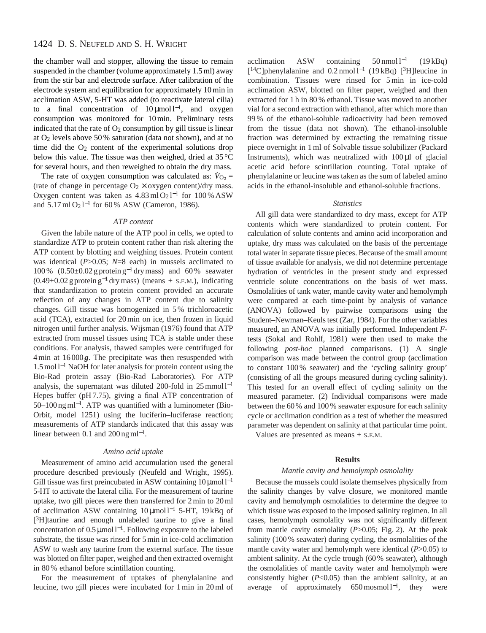the chamber wall and stopper, allowing the tissue to remain suspended in the chamber (volume approximately 1.5 ml) away from the stir bar and electrode surface. After calibration of the electrode system and equilibration for approximately 10 min in acclimation ASW, 5-HT was added (to reactivate lateral cilia) to a final concentration of  $10 \mu \text{mol}^{-1}$ , and oxygen consumption was monitored for 10 min. Preliminary tests indicated that the rate of  $O_2$  consumption by gill tissue is linear at  $O_2$  levels above 50% saturation (data not shown), and at no time did the  $O<sub>2</sub>$  content of the experimental solutions drop below this value. The tissue was then weighed, dried at 35 °C for several hours, and then reweighed to obtain the dry mass. .

The rate of oxygen consumption was calculated as:  $\dot{V}_{\text{O}_2}$  = (rate of change in percentage  $O_2 \times$  oxygen content)/dry mass. Oxygen content was taken as  $4.83 \text{ ml} \text{O}_2$ l<sup>-1</sup> for 100 % ASW and  $5.17 \text{ ml } O_2 l^{-1}$  for 60 % ASW (Cameron, 1986).

### *ATP content*

Given the labile nature of the ATP pool in cells, we opted to standardize ATP to protein content rather than risk altering the ATP content by blotting and weighing tissues. Protein content was identical (*P*>0.05; *N*=8 each) in mussels acclimated to 100 % (0.50±0.02 g protein g−<sup>1</sup> dry mass) and 60 % seawater  $(0.49\pm0.02$  g protein g<sup>-1</sup> dry mass) (means  $\pm$  s.e.m.), indicating that standardization to protein content provided an accurate reflection of any changes in ATP content due to salinity changes. Gill tissue was homogenized in 5 % trichloroacetic acid (TCA), extracted for 20 min on ice, then frozen in liquid nitrogen until further analysis. Wijsman (1976) found that ATP extracted from mussel tissues using TCA is stable under these conditions. For analysis, thawed samples were centrifuged for 4 min at 16 000 *g*. The precipitate was then resuspended with 1.5 mol l−<sup>1</sup> NaOH for later analysis for protein content using the Bio-Rad protein assay (Bio-Rad Laboratories). For ATP analysis, the supernatant was diluted 200-fold in 25 mmol l−<sup>1</sup> Hepes buffer (pH 7.75), giving a final ATP concentration of 50–100 ng ml<sup>−</sup>1. ATP was quantified with a luminometer (Bio-Orbit, model 1251) using the luciferin–luciferase reaction; measurements of ATP standards indicated that this assay was linear between 0.1 and  $200$  ng ml<sup>-1</sup>.

# *Amino acid uptake*

Measurement of amino acid accumulation used the general procedure described previously (Neufeld and Wright, 1995). Gill tissue was first preincubated in ASW containing 10 μmol l<sup>-1</sup> 5-HT to activate the lateral cilia. For the measurement of taurine uptake, two gill pieces were then transferred for 2 min to 20 ml of acclimation ASW containing 10µmol l−<sup>1</sup> 5-HT, 19 kBq of [3H]taurine and enough unlabeled taurine to give a final concentration of 0.5µmol l<sup>−</sup>1. Following exposure to the labeled substrate, the tissue was rinsed for 5 min in ice-cold acclimation ASW to wash any taurine from the external surface. The tissue was blotted on filter paper, weighed and then extracted overnight in 80 % ethanol before scintillation counting.

For the measurement of uptakes of phenylalanine and leucine, two gill pieces were incubated for 1 min in 20 ml of acclimation ASW containing  $50 \text{ nmol } l^{-1}$  (19 kBq) [14C]phenylalanine and 0.2 nmol l−<sup>1</sup> (19 kBq) [3H]leucine in combination. Tissues were rinsed for 5 min in ice-cold acclimation ASW, blotted on filter paper, weighed and then extracted for 1 h in 80 % ethanol. Tissue was moved to another vial for a second extraction with ethanol, after which more than 99 % of the ethanol-soluble radioactivity had been removed from the tissue (data not shown). The ethanol-insoluble fraction was determined by extracting the remaining tissue piece overnight in 1 ml of Solvable tissue solubilizer (Packard Instruments), which was neutralized with  $100 \mu l$  of glacial acetic acid before scintillation counting. Total uptake of phenylalanine or leucine was taken as the sum of labeled amino acids in the ethanol-insoluble and ethanol-soluble fractions.

# *Statistics*

All gill data were standardized to dry mass, except for ATP contents which were standardized to protein content. For calculation of solute contents and amino acid incorporation and uptake, dry mass was calculated on the basis of the percentage total water in separate tissue pieces. Because of the small amount of tissue available for analysis, we did not determine percentage hydration of ventricles in the present study and expressed ventricle solute concentrations on the basis of wet mass. Osmolalities of tank water, mantle cavity water and hemolymph were compared at each time-point by analysis of variance (ANOVA) followed by pairwise comparisons using the Student–Newman–Keuls test (Zar, 1984). For the other variables measured, an ANOVA was initially performed. Independent *F*tests (Sokal and Rohlf, 1981) were then used to make the following *post-hoc* planned comparisons. (1) A single comparison was made between the control group (acclimation to constant 100 % seawater) and the 'cycling salinity group' (consisting of all the groups measured during cycling salinity). This tested for an overall effect of cycling salinity on the measured parameter. (2) Individual comparisons were made between the 60 % and 100 % seawater exposure for each salinity cycle or acclimation condition as a test of whether the measured parameter was dependent on salinity at that particular time point.

Values are presented as means  $\pm$  s.E.M.

### **Results**

#### *Mantle cavity and hemolymph osmolality*

Because the mussels could isolate themselves physically from the salinity changes by valve closure, we monitored mantle cavity and hemolymph osmolalities to determine the degree to which tissue was exposed to the imposed salinity regimen. In all cases, hemolymph osmolality was not significantly different from mantle cavity osmolality (*P*>0.05; Fig. 2). At the peak salinity (100 % seawater) during cycling, the osmolalities of the mantle cavity water and hemolymph were identical (*P*>0.05) to ambient salinity. At the cycle trough (60 % seawater), although the osmolalities of mantle cavity water and hemolymph were consistently higher (*P*<0.05) than the ambient salinity, at an average of approximately 650 mosmol  $l^{-1}$ , they were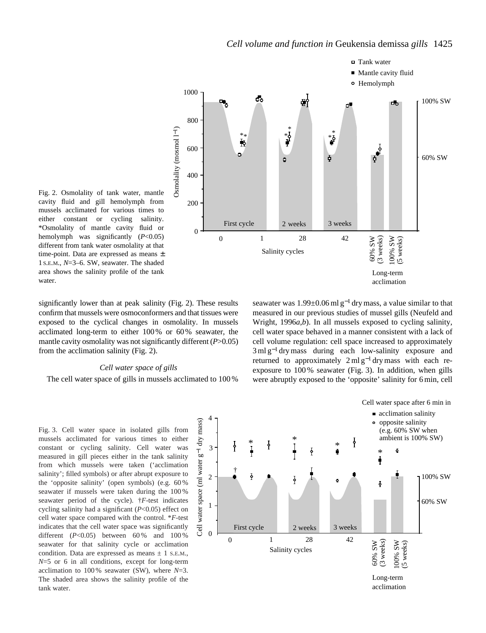



significantly lower than at peak salinity (Fig. 2). These results confirm that mussels were osmoconformers and that tissues were exposed to the cyclical changes in osmolality. In mussels acclimated long-term to either 100 % or 60 % seawater, the mantle cavity osmolality was not significantly different (*P*>0.05) from the acclimation salinity (Fig. 2).

#### *Cell water space of gills*

The cell water space of gills in mussels acclimated to 100 %

seawater was  $1.99\pm0.06$  ml g<sup>-1</sup> dry mass, a value similar to that measured in our previous studies of mussel gills (Neufeld and Wright, 1996*a*,*b*). In all mussels exposed to cycling salinity, cell water space behaved in a manner consistent with a lack of cell volume regulation: cell space increased to approximately 3 ml g<sup>-1</sup> dry mass during each low-salinity exposure and returned to approximately  $2 \text{ ml } g^{-1}$  dry mass with each reexposure to 100 % seawater (Fig. 3). In addition, when gills were abruptly exposed to the 'opposite' salinity for 6 min, cell

Fig. 3. Cell water space in isolated gills from mussels acclimated for various times to either constant or cycling salinity. Cell water was measured in gill pieces either in the tank salinity from which mussels were taken ('acclimation salinity'; filled symbols) or after abrupt exposure to the 'opposite salinity' (open symbols) (e.g. 60 % seawater if mussels were taken during the 100 % seawater period of the cycle). †*F*-test indicates cycling salinity had a significant (*P*<0.05) effect on cell water space compared with the control. \**F*-test indicates that the cell water space was significantly different  $(P<0.05)$  between 60% and 100% seawater for that salinity cycle or acclimation condition. Data are expressed as means  $\pm$  1 s.E.M., *N*=5 or 6 in all conditions, except for long-term acclimation to 100 % seawater (SW), where *N*=3. The shaded area shows the salinity profile of the tank water.

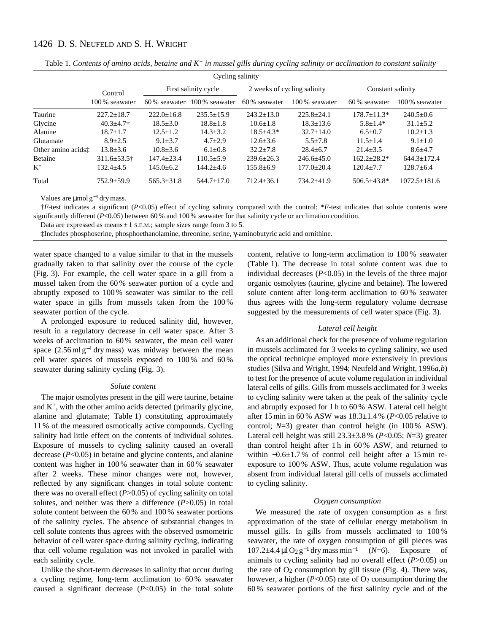|                    |                           |                      | Cycling salinity |                             |                |                    |                  |
|--------------------|---------------------------|----------------------|------------------|-----------------------------|----------------|--------------------|------------------|
|                    | Control<br>100 % seawater | First salinity cycle |                  | 2 weeks of cycling salinity |                | Constant salinity  |                  |
|                    |                           | 60\% seawater        | 100\% seawater   | 60% seawater                | 100% seawater  | 60% seawater       | 100% seawater    |
| Taurine            | $227.2 + 18.7$            | $222.0+16.8$         | $235.5 + 15.9$   | $243.2+13.0$                | $225.8 + 24.1$ | $178.7 \pm 11.3*$  | $240.5+0.6$      |
| Glycine            | $40.3 \pm 4.7$            | $18.5 \pm 3.0$       | $18.8 \pm 1.8$   | $10.6 \pm 1.8$              | $18.3 + 13.6$  | $5.8 + 1.4*$       | $31.1 \pm 5.2$   |
| Alanine            | $18.7 + 1.7$              | $12.5 + 1.2$         | $14.3 + 3.2$     | $18.5 + 4.3*$               | $32.7 + 14.0$  | $6.5 + 0.7$        | $10.2 + 1.3$     |
| Glutamate          | $8.9 + 2.5$               | $9.1 + 3.7$          | $4.7 + 2.9$      | $12.6 + 3.6$                | $5.5 + 7.8$    | $11.5 + 1.4$       | $9.1 + 1.0$      |
| Other amino acids: | $13.8 + 3.6$              | $10.8 \pm 3.6$       | $6.1 + 0.8$      | $32.2 + 7.8$                | $28.4 + 6.7$   | $21.4 \pm 3.5$     | $8.6 + 4.7$      |
| Betaine            | $311.6 \pm 53.5$ †        | $147.4 + 23.4$       | $110.5 \pm 5.9$  | $239.6 + 26.3$              | $246.6 + 45.0$ | $162.2+28.2*$      | $644.3+172.4$    |
| $K^+$              | $132.4 + 4.5$             | $145.0 + 6.2$        | $144.2 + 4.6$    | $155.8 + 6.9$               | $177.0 + 20.4$ | $120.4 + 7.7$      | $128.7 + 6.4$    |
| Total              | $752.9 \pm 59.9$          | $565.3 \pm 31.8$     | $544.7 \pm 17.0$ | $712.4 \pm 36.1$            | $734.2 + 41.9$ | $506.5 \pm 43.8^*$ | $1072.5 + 181.6$ |

Table 1. *Contents of amino acids, betaine and K<sup>+</sup> in mussel gills during cycling salinity or acclimation to constant salinity*

Values are  $\mu$ mol g<sup>-1</sup> dry mass.

†*F*-test indicates a significant (*P*<0.05) effect of cycling salinity compared with the control; \**F*-test indicates that solute contents were significantly different (*P*<0.05) between 60% and 100% seawater for that salinity cycle or acclimation condition.

Data are expressed as means  $\pm 1$  S.E.M.; sample sizes range from 3 to 5.

‡Includes phosphoserine, phosphoethanolamine, threonine, serine, γ-aminobutyric acid and ornithine.

water space changed to a value similar to that in the mussels gradually taken to that salinity over the course of the cycle (Fig. 3). For example, the cell water space in a gill from a mussel taken from the 60 % seawater portion of a cycle and abruptly exposed to 100 % seawater was similar to the cell water space in gills from mussels taken from the 100 % seawater portion of the cycle.

A prolonged exposure to reduced salinity did, however, result in a regulatory decrease in cell water space. After 3 weeks of acclimation to 60 % seawater, the mean cell water space  $(2.56 \text{ ml g}^{-1}$  dry mass) was midway between the mean cell water spaces of mussels exposed to 100 % and 60 % seawater during salinity cycling (Fig. 3).

#### *Solute content*

The major osmolytes present in the gill were taurine, betaine and  $K^+$ , with the other amino acids detected (primarily glycine, alanine and glutamate; Table 1) constituting approximately 11 % of the measured osmotically active compounds. Cycling salinity had little effect on the contents of individual solutes. Exposure of mussels to cycling salinity caused an overall decrease (*P*<0.05) in betaine and glycine contents, and alanine content was higher in 100 % seawater than in 60 % seawater after 2 weeks. These minor changes were not, however, reflected by any significant changes in total solute content: there was no overall effect (*P*>0.05) of cycling salinity on total solutes, and neither was there a difference (*P*>0.05) in total solute content between the 60 % and 100 % seawater portions of the salinity cycles. The absence of substantial changes in cell solute contents thus agrees with the observed osmometric behavior of cell water space during salinity cycling, indicating that cell volume regulation was not invoked in parallel with each salinity cycle.

Unlike the short-term decreases in salinity that occur during a cycling regime, long-term acclimation to 60 % seawater caused a significant decrease  $(P<0.05)$  in the total solute

content, relative to long-term acclimation to 100 % seawater (Table 1). The decrease in total solute content was due to individual decreases (*P*<0.05) in the levels of the three major organic osmolytes (taurine, glycine and betaine). The lowered solute content after long-term acclimation to 60 % seawater thus agrees with the long-term regulatory volume decrease suggested by the measurements of cell water space (Fig. 3).

# *Lateral cell height*

As an additional check for the presence of volume regulation in mussels acclimated for 3 weeks to cycling salinity, we used the optical technique employed more extensively in previous studies (Silva and Wright, 1994; Neufeld and Wright, 1996*a*,*b*) to test for the presence of acute volume regulation in individual lateral cells of gills. Gills from mussels acclimated for 3 weeks to cycling salinity were taken at the peak of the salinity cycle and abruptly exposed for 1 h to 60 % ASW. Lateral cell height after 15 min in 60 % ASW was 18.3±1.4 % (*P*<0.05 relative to control;  $N=3$ ) greater than control height (in 100 % ASW). Lateral cell height was still 23.3±3.8 % (*P*<0.05; *N*=3) greater than control height after 1 h in 60 % ASW, and returned to within −0.6±1.7 % of control cell height after a 15 min reexposure to 100 % ASW. Thus, acute volume regulation was absent from individual lateral gill cells of mussels acclimated to cycling salinity.

#### *Oxygen consumption*

We measured the rate of oxygen consumption as a first approximation of the state of cellular energy metabolism in mussel gills. In gills from mussels acclimated to 100 % seawater, the rate of oxygen consumption of gill pieces was 107.2±4.4 µl O2 g−<sup>1</sup> dry mass min−<sup>1</sup> (*N*=6). Exposure of animals to cycling salinity had no overall effect (*P*>0.05) on the rate of  $O_2$  consumption by gill tissue (Fig. 4). There was, however, a higher  $(P<0.05)$  rate of  $O<sub>2</sub>$  consumption during the 60 % seawater portions of the first salinity cycle and of the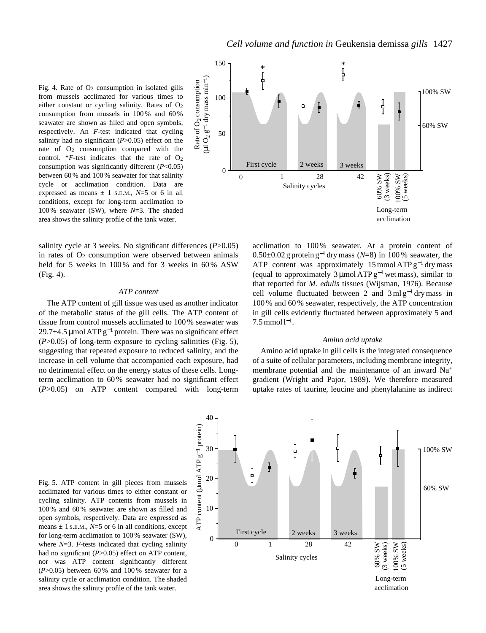Fig. 4. Rate of  $O<sub>2</sub>$  consumption in isolated gills from mussels acclimated for various times to either constant or cycling salinity. Rates of  $O<sub>2</sub>$ consumption from mussels in 100 % and 60 % seawater are shown as filled and open symbols, respectively. An *F*-test indicated that cycling salinity had no significant  $(P>0.05)$  effect on the rate of  $O<sub>2</sub>$  consumption compared with the control. \* $F$ -test indicates that the rate of  $O_2$ consumption was significantly different (*P*<0.05) between 60 % and 100 % seawater for that salinity cycle or acclimation condition. Data are expressed as means  $\pm$  1 s.E.M.,  $N=5$  or 6 in all conditions, except for long-term acclimation to 100 % seawater (SW), where *N*=3. The shaded area shows the salinity profile of the tank water.

salinity cycle at 3 weeks. No significant differences (*P*>0.05) in rates of  $O<sub>2</sub>$  consumption were observed between animals held for 5 weeks in 100 % and for 3 weeks in 60 % ASW (Fig. 4).

# *ATP content*

The ATP content of gill tissue was used as another indicator of the metabolic status of the gill cells. The ATP content of tissue from control mussels acclimated to 100 % seawater was 29.7 $\pm$ 4.5 µmol ATP g<sup>-1</sup> protein. There was no significant effect (*P*>0.05) of long-term exposure to cycling salinities (Fig. 5), suggesting that repeated exposure to reduced salinity, and the increase in cell volume that accompanied each exposure, had no detrimental effect on the energy status of these cells. Longterm acclimation to 60 % seawater had no significant effect (*P*>0.05) on ATP content compared with long-term



acclimation to 100 % seawater. At a protein content of 0.50±0.02 g protein g−<sup>1</sup> dry mass (*N*=8) in 100 % seawater, the ATP content was approximately 15 mmol ATP  $g^{-1}$  dry mass (equal to approximately 3 µmol ATP  $g^{-1}$  wet mass), similar to that reported for *M. edulis* tissues (Wijsman, 1976). Because cell volume fluctuated between 2 and  $3 \text{ ml } g^{-1}$  dry mass in 100 % and 60 % seawater, respectively, the ATP concentration in gill cells evidently fluctuated between approximately 5 and  $7.5$  mmol  $1^{-1}$ .

#### *Amino acid uptake*

Amino acid uptake in gill cells is the integrated consequence of a suite of cellular parameters, including membrane integrity, membrane potential and the maintenance of an inward Na<sup>+</sup> gradient (Wright and Pajor, 1989). We therefore measured uptake rates of taurine, leucine and phenylalanine as indirect

Fig. 5. ATP content in gill pieces from mussels acclimated for various times to either constant or cycling salinity. ATP contents from mussels in 100 % and 60 % seawater are shown as filled and open symbols, respectively. Data are expressed as means  $\pm$  1 s.E.M.,  $N=5$  or 6 in all conditions, except for long-term acclimation to 100 % seawater (SW), where  $N=3$ . *F*-tests indicated that cycling salinity had no significant (*P*>0.05) effect on ATP content, nor was ATP content significantly different (*P*>0.05) between 60 % and 100 % seawater for a salinity cycle or acclimation condition. The shaded area shows the salinity profile of the tank water.

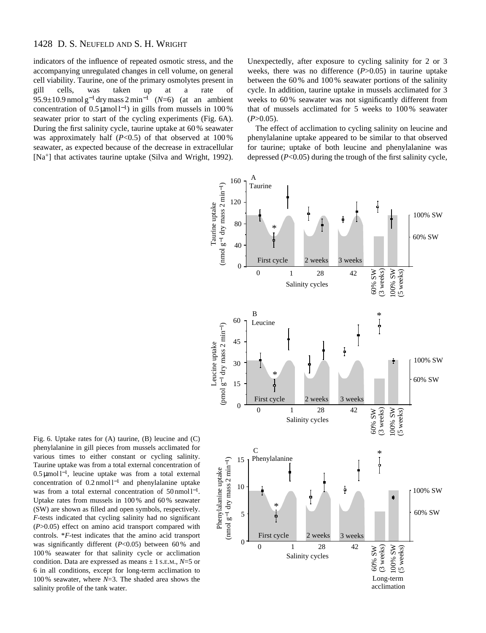indicators of the influence of repeated osmotic stress, and the accompanying unregulated changes in cell volume, on general cell viability. Taurine, one of the primary osmolytes present in gill cells, was taken up at a rate of 95.9±10.9 nmol g−<sup>1</sup> dry mass 2 min−<sup>1</sup> (*N*=6) (at an ambient concentration of  $0.5 \mu$ mol l<sup>-1</sup>) in gills from mussels in 100 % seawater prior to start of the cycling experiments (Fig. 6A). During the first salinity cycle, taurine uptake at 60 % seawater was approximately half  $(P<0.5)$  of that observed at  $100\%$ seawater, as expected because of the decrease in extracellular [Na+] that activates taurine uptake (Silva and Wright, 1992). Unexpectedly, after exposure to cycling salinity for 2 or 3 weeks, there was no difference (*P*>0.05) in taurine uptake between the 60 % and 100 % seawater portions of the salinity cycle. In addition, taurine uptake in mussels acclimated for 3 weeks to 60 % seawater was not significantly different from that of mussels acclimated for 5 weeks to 100 % seawater  $(P>0.05)$ .

The effect of acclimation to cycling salinity on leucine and phenylalanine uptake appeared to be similar to that observed for taurine; uptake of both leucine and phenylalanine was depressed (*P*<0.05) during the trough of the first salinity cycle,



Fig. 6. Uptake rates for (A) taurine, (B) leucine and (C) phenylalanine in gill pieces from mussels acclimated for various times to either constant or cycling salinity. Taurine uptake was from a total external concentration of 0.5 µmol l<sup>−</sup>1, leucine uptake was from a total external concentration of 0.2 nmol l−<sup>1</sup> and phenylalanine uptake was from a total external concentration of 50 nmol l<sup>−1</sup>. Uptake rates from mussels in 100 % and 60 % seawater (SW) are shown as filled and open symbols, respectively. *F*-tests indicated that cycling salinity had no significant (*P*>0.05) effect on amino acid transport compared with controls. \**F*-test indicates that the amino acid transport was significantly different (*P*<0.05) between 60% and 100 % seawater for that salinity cycle or acclimation condition. Data are expressed as means ± 1 S.E.M., *N*=5 or 6 in all conditions, except for long-term acclimation to 100 % seawater, where *N*=3. The shaded area shows the salinity profile of the tank water.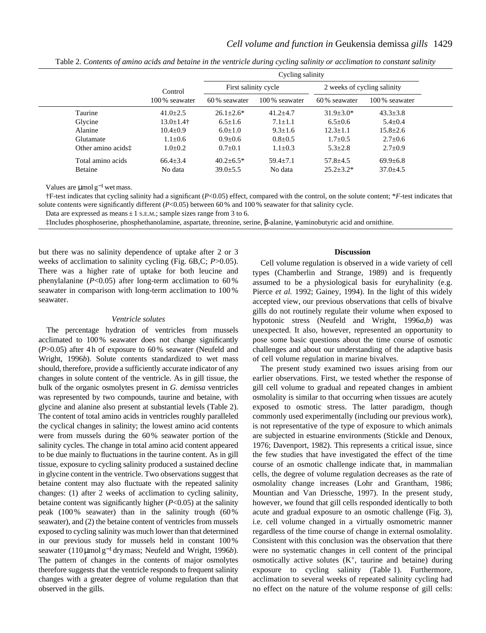|                                |                | Cycling salinity     |                |                             |                |  |
|--------------------------------|----------------|----------------------|----------------|-----------------------------|----------------|--|
|                                | Control        | First salinity cycle |                | 2 weeks of cycling salinity |                |  |
|                                | 100% seawater  | 60% seawater         | 100 % seawater | 60% seawater                | 100% seawater  |  |
| Taurine                        | $41.0 \pm 2.5$ | $26.1 \pm 2.6^*$     | $41.2 + 4.7$   | $31.9 + 3.0*$               | $43.3 \pm 3.8$ |  |
| Glycine                        | 13.0±1.4†      | $6.5 \pm 1.6$        | $7.1 \pm 1.1$  | $6.5 \pm 0.6$               | $5.4 \pm 0.4$  |  |
| Alanine                        | $10.4 \pm 0.9$ | $6.0 \pm 1.0$        | $9.3 \pm 1.6$  | $12.3 \pm 1.1$              | $15.8 \pm 2.6$ |  |
| Glutamate                      | $1.1 \pm 0.6$  | $0.9+0.6$            | $0.8 \pm 0.5$  | $1.7 \pm 0.5$               | $2.7 \pm 0.6$  |  |
| Other amino acids <sup>†</sup> | $1.0 \pm 0.2$  | $0.7 \pm 0.1$        | $1.1 \pm 0.3$  | $5.3 \pm 2.8$               | $2.7 \pm 0.9$  |  |
| Total amino acids              | $66.4 \pm 3.4$ | $40.2 \pm 6.5^*$     | $59.4 + 7.1$   | $57.8 \pm 4.5$              | $69.9 \pm 6.8$ |  |
| Betaine                        | No data        | $39.0 \pm 5.5$       | No data        | $25.2 \pm 3.2^*$            | $37.0 \pm 4.5$ |  |

Table 2*. Contents of amino acids and betaine in the ventricle during cycling salinity or acclimation to constant salinity*

Values are  $\mu$ mol g<sup>-1</sup> wet mass.

†F-test indicates that cycling salinity had a significant (*P*<0.05) effect, compared with the control, on the solute content; \**F*-test indicates that solute contents were significantly different (*P*<0.05) between 60% and 100% seawater for that salinity cycle.

Data are expressed as means  $\pm$  1 s.E.M.; sample sizes range from 3 to 6.

‡Includes phosphoserine, phosphethanolamine, aspartate, threonine, serine, β-alanine, γ-aminobutyric acid and ornithine.

but there was no salinity dependence of uptake after 2 or 3 weeks of acclimation to salinity cycling (Fig. 6B,C; *P*>0.05). There was a higher rate of uptake for both leucine and phenylalanine (*P*<0.05) after long-term acclimation to 60 % seawater in comparison with long-term acclimation to 100 % seawater.

### *Ventricle solutes*

The percentage hydration of ventricles from mussels acclimated to 100 % seawater does not change significantly (*P*>0.05) after 4 h of exposure to 60 % seawater (Neufeld and Wright, 1996*b*). Solute contents standardized to wet mass should, therefore, provide a sufficiently accurate indicator of any changes in solute content of the ventricle. As in gill tissue, the bulk of the organic osmolytes present in *G. demissa* ventricles was represented by two compounds, taurine and betaine, with glycine and alanine also present at substantial levels (Table 2). The content of total amino acids in ventricles roughly paralleled the cyclical changes in salinity; the lowest amino acid contents were from mussels during the 60 % seawater portion of the salinity cycles. The change in total amino acid content appeared to be due mainly to fluctuations in the taurine content. As in gill tissue, exposure to cycling salinity produced a sustained decline in glycine content in the ventricle. Two observations suggest that betaine content may also fluctuate with the repeated salinity changes: (1) after 2 weeks of acclimation to cycling salinity, betaine content was significantly higher (*P*<0.05) at the salinity peak (100 % seawater) than in the salinity trough (60 % seawater), and (2) the betaine content of ventricles from mussels exposed to cycling salinity was much lower than that determined in our previous study for mussels held in constant 100 % seawater (110µmol g−<sup>1</sup> dry mass; Neufeld and Wright, 1996*b*). The pattern of changes in the contents of major osmolytes therefore suggests that the ventricle responds to frequent salinity changes with a greater degree of volume regulation than that observed in the gills.

# **Discussion**

Cell volume regulation is observed in a wide variety of cell types (Chamberlin and Strange, 1989) and is frequently assumed to be a physiological basis for euryhalinity (e.g. Pierce *et al.* 1992; Gainey, 1994). In the light of this widely accepted view, our previous observations that cells of bivalve gills do not routinely regulate their volume when exposed to hypotonic stress (Neufeld and Wright, 1996*a*,*b*) was unexpected. It also, however, represented an opportunity to pose some basic questions about the time course of osmotic challenges and about our understanding of the adaptive basis of cell volume regulation in marine bivalves.

The present study examined two issues arising from our earlier observations. First, we tested whether the response of gill cell volume to gradual and repeated changes in ambient osmolality is similar to that occurring when tissues are acutely exposed to osmotic stress. The latter paradigm, though commonly used experimentally (including our previous work), is not representative of the type of exposure to which animals are subjected in estuarine environments (Stickle and Denoux, 1976; Davenport, 1982). This represents a critical issue, since the few studies that have investigated the effect of the time course of an osmotic challenge indicate that, in mammalian cells, the degree of volume regulation decreases as the rate of osmolality change increases (Lohr and Grantham, 1986; Mountian and Van Driessche, 1997). In the present study, however, we found that gill cells responded identically to both acute and gradual exposure to an osmotic challenge (Fig. 3), i.e. cell volume changed in a virtually osmometric manner regardless of the time course of change in external osmolality. Consistent with this conclusion was the observation that there were no systematic changes in cell content of the principal osmotically active solutes  $(K^+$ , taurine and betaine) during exposure to cycling salinity (Table 1). Furthermore, acclimation to several weeks of repeated salinity cycling had no effect on the nature of the volume response of gill cells: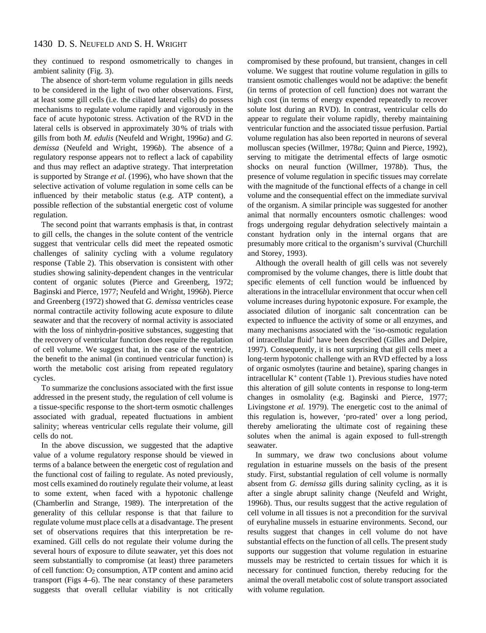they continued to respond osmometrically to changes in ambient salinity (Fig. 3).

The absence of short-term volume regulation in gills needs to be considered in the light of two other observations. First, at least some gill cells (i.e. the ciliated lateral cells) do possess mechanisms to regulate volume rapidly and vigorously in the face of acute hypotonic stress. Activation of the RVD in the lateral cells is observed in approximately 30 % of trials with gills from both *M. edulis* (Neufeld and Wright, 1996*a*) and *G. demissa* (Neufeld and Wright, 1996*b*). The absence of a regulatory response appears not to reflect a lack of capability and thus may reflect an adaptive strategy. That interpretation is supported by Strange *et al.* (1996), who have shown that the selective activation of volume regulation in some cells can be influenced by their metabolic status (e.g. ATP content), a possible reflection of the substantial energetic cost of volume regulation.

The second point that warrants emphasis is that, in contrast to gill cells, the changes in the solute content of the ventricle suggest that ventricular cells did meet the repeated osmotic challenges of salinity cycling with a volume regulatory response (Table 2). This observation is consistent with other studies showing salinity-dependent changes in the ventricular content of organic solutes (Pierce and Greenberg, 1972; Baginski and Pierce, 1977; Neufeld and Wright, 1996*b*). Pierce and Greenberg (1972) showed that *G. demissa* ventricles cease normal contractile activity following acute exposure to dilute seawater and that the recovery of normal activity is associated with the loss of ninhydrin-positive substances, suggesting that the recovery of ventricular function does require the regulation of cell volume. We suggest that, in the case of the ventricle, the benefit to the animal (in continued ventricular function) is worth the metabolic cost arising from repeated regulatory cycles.

To summarize the conclusions associated with the first issue addressed in the present study, the regulation of cell volume is a tissue-specific response to the short-term osmotic challenges associated with gradual, repeated fluctuations in ambient salinity; whereas ventricular cells regulate their volume, gill cells do not.

In the above discussion, we suggested that the adaptive value of a volume regulatory response should be viewed in terms of a balance between the energetic cost of regulation and the functional cost of failing to regulate. As noted previously, most cells examined do routinely regulate their volume, at least to some extent, when faced with a hypotonic challenge (Chamberlin and Strange, 1989). The interpretation of the generality of this cellular response is that that failure to regulate volume must place cells at a disadvantage. The present set of observations requires that this interpretation be reexamined. Gill cells do not regulate their volume during the several hours of exposure to dilute seawater, yet this does not seem substantially to compromise (at least) three parameters of cell function: O2 consumption, ATP content and amino acid transport (Figs 4–6). The near constancy of these parameters suggests that overall cellular viability is not critically

compromised by these profound, but transient, changes in cell volume. We suggest that routine volume regulation in gills to transient osmotic challenges would not be adaptive: the benefit (in terms of protection of cell function) does not warrant the high cost (in terms of energy expended repeatedly to recover solute lost during an RVD). In contrast, ventricular cells do appear to regulate their volume rapidly, thereby maintaining ventricular function and the associated tissue perfusion. Partial volume regulation has also been reported in neurons of several molluscan species (Willmer, 1978*a*; Quinn and Pierce, 1992), serving to mitigate the detrimental effects of large osmotic shocks on neural function (Willmer, 1978*b*). Thus, the presence of volume regulation in specific tissues may correlate with the magnitude of the functional effects of a change in cell volume and the consequential effect on the immediate survival of the organism. A similar principle was suggested for another animal that normally encounters osmotic challenges: wood frogs undergoing regular dehydration selectively maintain a constant hydration only in the internal organs that are presumably more critical to the organism's survival (Churchill and Storey, 1993).

Although the overall health of gill cells was not severely compromised by the volume changes, there is little doubt that specific elements of cell function would be influenced by alterations in the intracellular environment that occur when cell volume increases during hypotonic exposure. For example, the associated dilution of inorganic salt concentration can be expected to influence the activity of some or all enzymes, and many mechanisms associated with the 'iso-osmotic regulation of intracellular fluid' have been described (Gilles and Delpire, 1997). Consequently, it is not surprising that gill cells meet a long-term hypotonic challenge with an RVD effected by a loss of organic osmolytes (taurine and betaine), sparing changes in intracellular K+ content (Table 1). Previous studies have noted this alteration of gill solute contents in response to long-term changes in osmolality (e.g. Baginski and Pierce, 1977; Livingstone *et al.* 1979). The energetic cost to the animal of this regulation is, however, 'pro-rated' over a long period, thereby ameliorating the ultimate cost of regaining these solutes when the animal is again exposed to full-strength seawater.

In summary, we draw two conclusions about volume regulation in estuarine mussels on the basis of the present study. First, substantial regulation of cell volume is normally absent from *G. demissa* gills during salinity cycling, as it is after a single abrupt salinity change (Neufeld and Wright, 1996*b*). Thus, our results suggest that the active regulation of cell volume in all tissues is not a precondition for the survival of euryhaline mussels in estuarine environments. Second, our results suggest that changes in cell volume do not have substantial effects on the function of all cells. The present study supports our suggestion that volume regulation in estuarine mussels may be restricted to certain tissues for which it is necessary for continued function, thereby reducing for the animal the overall metabolic cost of solute transport associated with volume regulation.